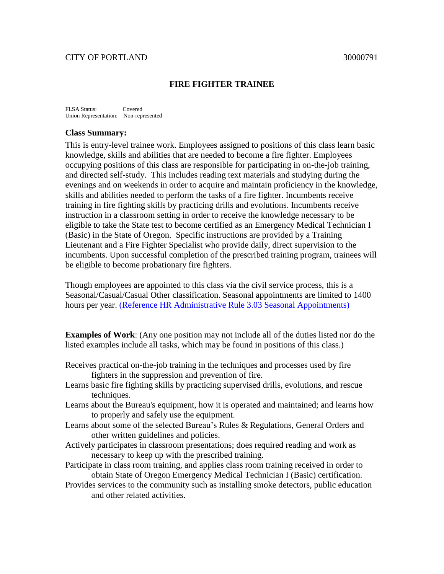# CITY OF PORTLAND 30000791

### **FIRE FIGHTER TRAINEE**

FLSA Status: Covered Union Representation: Non-represented

### **Class Summary:**

This is entry-level trainee work. Employees assigned to positions of this class learn basic knowledge, skills and abilities that are needed to become a fire fighter. Employees occupying positions of this class are responsible for participating in on-the-job training, and directed self-study. This includes reading text materials and studying during the evenings and on weekends in order to acquire and maintain proficiency in the knowledge, skills and abilities needed to perform the tasks of a fire fighter. Incumbents receive training in fire fighting skills by practicing drills and evolutions. Incumbents receive instruction in a classroom setting in order to receive the knowledge necessary to be eligible to take the State test to become certified as an Emergency Medical Technician I (Basic) in the State of Oregon. Specific instructions are provided by a Training Lieutenant and a Fire Fighter Specialist who provide daily, direct supervision to the incumbents. Upon successful completion of the prescribed training program, trainees will be eligible to become probationary fire fighters.

Though employees are appointed to this class via the civil service process, this is a Seasonal/Casual/Casual Other classification. Seasonal appointments are limited to 1400 hours per year. [\(Reference HR Administrative Rule 3.03 Seasonal Appointments\)](http://www.portlandonline.com/shared/cfm/image.cfm?id=12178)

**Examples of Work**: (Any one position may not include all of the duties listed nor do the listed examples include all tasks, which may be found in positions of this class.)

- Receives practical on-the-job training in the techniques and processes used by fire fighters in the suppression and prevention of fire.
- Learns basic fire fighting skills by practicing supervised drills, evolutions, and rescue techniques.
- Learns about the Bureau's equipment, how it is operated and maintained; and learns how to properly and safely use the equipment.
- Learns about some of the selected Bureau's Rules & Regulations, General Orders and other written guidelines and policies.
- Actively participates in classroom presentations; does required reading and work as necessary to keep up with the prescribed training.
- Participate in class room training, and applies class room training received in order to obtain State of Oregon Emergency Medical Technician I (Basic) certification.
- Provides services to the community such as installing smoke detectors, public education and other related activities.